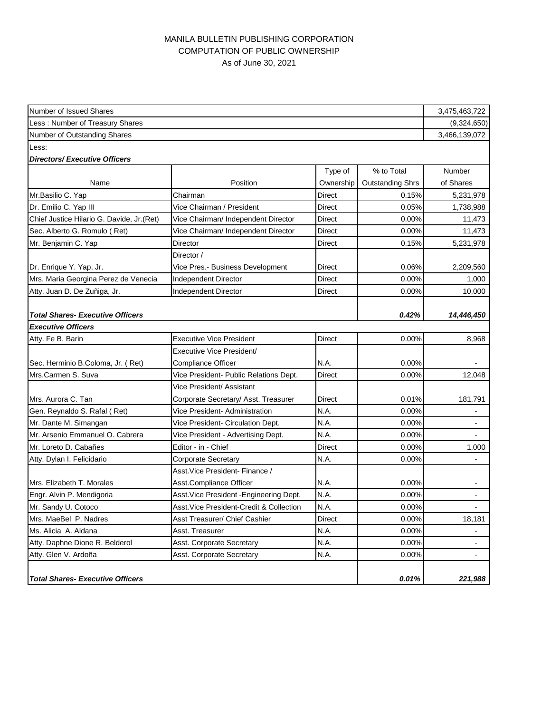## MANILA BULLETIN PUBLISHING CORPORATION COMPUTATION OF PUBLIC OWNERSHIP As of June 30, 2021

| Number of Issued Shares                   |                                          |               |                         | 3,475,463,722            |  |  |
|-------------------------------------------|------------------------------------------|---------------|-------------------------|--------------------------|--|--|
| Less: Number of Treasury Shares           |                                          |               |                         |                          |  |  |
| Number of Outstanding Shares              |                                          |               |                         |                          |  |  |
| Less:                                     |                                          |               |                         |                          |  |  |
| <b>Directors/Executive Officers</b>       |                                          |               |                         |                          |  |  |
|                                           |                                          | Type of       | % to Total              | <b>Number</b>            |  |  |
| Name                                      | Position                                 | Ownership     | <b>Outstanding Shrs</b> | of Shares                |  |  |
| Mr.Basilio C. Yap                         | Chairman                                 | Direct        | 0.15%                   | 5,231,978                |  |  |
| Dr. Emilio C. Yap III                     | Vice Chairman / President                | <b>Direct</b> | 0.05%                   | 1,738,988                |  |  |
| Chief Justice Hilario G. Davide, Jr.(Ret) | Vice Chairman/ Independent Director      | Direct        | 0.00%                   | 11,473                   |  |  |
| Sec. Alberto G. Romulo (Ret)              | Vice Chairman/ Independent Director      | Direct        | 0.00%                   | 11,473                   |  |  |
| Mr. Benjamin C. Yap                       | Director                                 | Direct        | 0.15%                   | 5,231,978                |  |  |
|                                           | Director /                               |               |                         |                          |  |  |
| Dr. Enrique Y. Yap, Jr.                   | Vice Pres.- Business Development         | Direct        | 0.06%                   | 2,209,560                |  |  |
| Mrs. Maria Georgina Perez de Venecia      | Independent Director                     | Direct        | 0.00%                   | 1,000                    |  |  |
| Atty. Juan D. De Zuñiga, Jr.              | Independent Director                     | Direct        | 0.00%                   | 10.000                   |  |  |
|                                           |                                          |               |                         |                          |  |  |
| <b>Total Shares- Executive Officers</b>   |                                          |               | 0.42%                   | 14,446,450               |  |  |
| <b>Executive Officers</b>                 |                                          |               |                         |                          |  |  |
| Atty. Fe B. Barin                         | <b>Executive Vice President</b>          | Direct        | 0.00%                   | 8,968                    |  |  |
|                                           | Executive Vice President/                |               |                         |                          |  |  |
| Sec. Herminio B.Coloma, Jr. (Ret)         | <b>Compliance Officer</b>                | N.A.          | 0.00%                   |                          |  |  |
| Mrs.Carmen S. Suva                        | Vice President- Public Relations Dept.   | Direct        | 0.00%                   | 12,048                   |  |  |
|                                           | Vice President/ Assistant                |               |                         |                          |  |  |
| Mrs. Aurora C. Tan                        | Corporate Secretary/ Asst. Treasurer     | Direct        | 0.01%                   | 181,791                  |  |  |
| Gen. Reynaldo S. Rafal (Ret)              | Vice President- Administration           | N.A.          | 0.00%                   |                          |  |  |
| Mr. Dante M. Simangan                     | Vice President- Circulation Dept.        | N.A.          | 0.00%                   | $\overline{\phantom{a}}$ |  |  |
| Mr. Arsenio Emmanuel O. Cabrera           | Vice President - Advertising Dept.       | N.A.          | 0.00%                   |                          |  |  |
| Mr. Loreto D. Cabañes                     | Editor - in - Chief                      | Direct        | 0.00%                   | 1,000                    |  |  |
| Atty. Dylan I. Felicidario                | <b>Corporate Secretary</b>               | N.A.          | 0.00%                   |                          |  |  |
|                                           | Asst. Vice President- Finance /          |               |                         |                          |  |  |
| Mrs. Elizabeth T. Morales                 | Asst.Compliance Officer                  | N.A.          | 0.00%                   | $\blacksquare$           |  |  |
| Engr. Alvin P. Mendigoria                 | Asst. Vice President - Engineering Dept. | N.A.          | 0.00%                   |                          |  |  |
| Mr. Sandy U. Cotoco                       | Asst.Vice President-Credit & Collection  | N.A.          | 0.00%                   |                          |  |  |
| Mrs. MaeBel P. Nadres                     | Asst Treasurer/ Chief Cashier            | Direct        | 0.00%                   | 18,181                   |  |  |
| Ms. Alicia A. Aldana                      | Asst. Treasurer                          | N.A.          | 0.00%                   | $\blacksquare$           |  |  |
| Atty. Daphne Dione R. Belderol            | <b>Asst. Corporate Secretary</b>         | N.A.          | 0.00%                   | $\overline{\phantom{a}}$ |  |  |
| Atty. Glen V. Ardoña                      | Asst. Corporate Secretary                | N.A.          | 0.00%                   |                          |  |  |
|                                           |                                          |               |                         |                          |  |  |
| <b>Total Shares- Executive Officers</b>   |                                          |               | 0.01%                   | 221,988                  |  |  |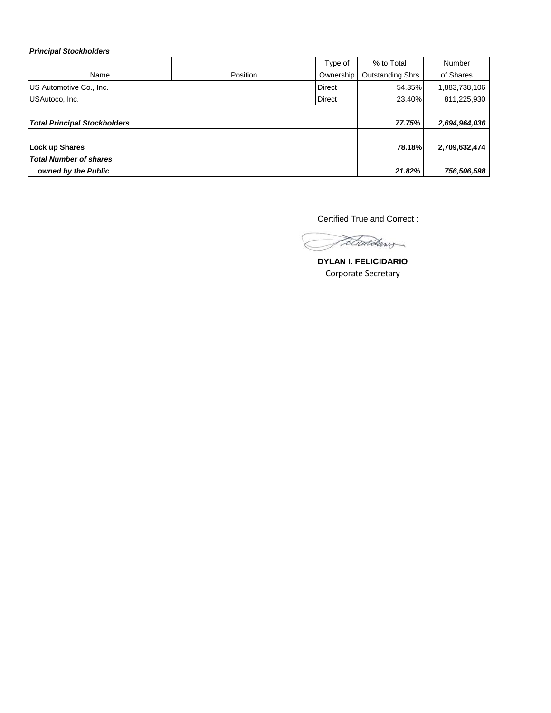*Principal Stockholders*

|                                     |          | Type of       | % to Total              | Number        |
|-------------------------------------|----------|---------------|-------------------------|---------------|
| Name                                | Position | Ownership     | <b>Outstanding Shrs</b> | of Shares     |
| US Automotive Co., Inc.             |          | <b>Direct</b> | 54.35%                  | 1,883,738,106 |
| USAutoco, Inc.                      |          | <b>Direct</b> | 23.40%                  | 811,225,930   |
|                                     |          |               |                         |               |
| <b>Total Principal Stockholders</b> |          |               | 77.75%                  | 2,694,964,036 |
|                                     |          |               |                         |               |
| <b>Lock up Shares</b>               |          |               | <b>78.18%</b>           | 2,709,632,474 |
| <b>Total Number of shares</b>       |          |               |                         |               |
| owned by the Public                 |          |               | 21.82%                  | 756,506,598   |

Certified True and Correct :

Fetwardaws.

**DYLAN I. FELICIDARIO** Corporate Secretary